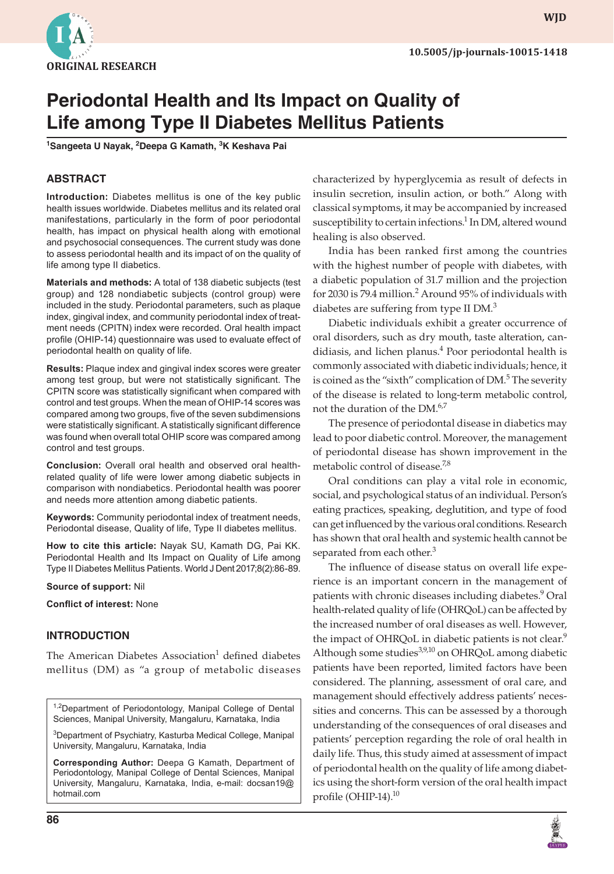

**WJD**

# **Periodontal Health and Its Impact on Quality of Life among Type II Diabetes Mellitus Patients**

**1 Sangeeta U Nayak, <sup>2</sup> Deepa G Kamath, <sup>3</sup> K Keshava Pai**

## **ABSTRACT**

**Introduction:** Diabetes mellitus is one of the key public health issues worldwide. Diabetes mellitus and its related oral manifestations, particularly in the form of poor periodontal health, has impact on physical health along with emotional and psychosocial consequences. The current study was done to assess periodontal health and its impact of on the quality of life among type II diabetics.

**Materials and methods:** A total of 138 diabetic subjects (test group) and 128 nondiabetic subjects (control group) were included in the study. Periodontal parameters, such as plaque index, gingival index, and community periodontal index of treatment needs (CPITN) index were recorded. Oral health impact profile (OHIP-14) questionnaire was used to evaluate effect of periodontal health on quality of life.

**Results:** Plaque index and gingival index scores were greater among test group, but were not statistically significant. The CPITN score was statistically significant when compared with control and test groups. When the mean of OHIP-14 scores was compared among two groups, five of the seven subdimensions were statistically significant. A statistically significant difference was found when overall total OHIP score was compared among control and test groups.

**Conclusion:** Overall oral health and observed oral healthrelated quality of life were lower among diabetic subjects in comparison with nondiabetics. Periodontal health was poorer and needs more attention among diabetic patients.

**Keywords:** Community periodontal index of treatment needs, Periodontal disease, Quality of life, Type II diabetes mellitus.

**How to cite this article:** Nayak SU, Kamath DG, Pai KK. Periodontal Health and Its Impact on Quality of Life among Type II Diabetes Mellitus Patients. World J Dent 2017;8(2):86-89.

#### **Source of support:** Nil

**Conflict of interest:** None

#### **INTRODUCTION**

The American Diabetes Association<sup>1</sup> defined diabetes mellitus (DM) as "a group of metabolic diseases

1,2Department of Periodontology, Manipal College of Dental Sciences, Manipal University, Mangaluru, Karnataka, India

<sup>3</sup>Department of Psychiatry, Kasturba Medical College, Manipal University, Mangaluru, Karnataka, India

**Corresponding Author:** Deepa G Kamath, Department of Periodontology, Manipal College of Dental Sciences, Manipal University, Mangaluru, Karnataka, India, e-mail: docsan19@ hotmail.com

characterized by hyperglycemia as result of defects in insulin secretion, insulin action, or both." Along with classical symptoms, it may be accompanied by increased susceptibility to certain infections.<sup>1</sup> In DM, altered wound healing is also observed.

India has been ranked first among the countries with the highest number of people with diabetes, with a diabetic population of 31.7 million and the projection for 2030 is 79.4 million. $^2$  Around 95% of individuals with diabetes are suffering from type II DM.<sup>3</sup>

Diabetic individuals exhibit a greater occurrence of oral disorders, such as dry mouth, taste alteration, candidiasis, and lichen planus.<sup>4</sup> Poor periodontal health is commonly associated with diabetic individuals; hence, it is coined as the "sixth" complication of  $DM<sup>5</sup>$  The severity of the disease is related to long-term metabolic control, not the duration of the DM.<sup>6,7</sup>

The presence of periodontal disease in diabetics may lead to poor diabetic control. Moreover, the management of periodontal disease has shown improvement in the metabolic control of disease.<sup>7,8</sup>

Oral conditions can play a vital role in economic, social, and psychological status of an individual. Person's eating practices, speaking, deglutition, and type of food can get influenced by the various oral conditions. Research has shown that oral health and systemic health cannot be separated from each other.<sup>3</sup>

The influence of disease status on overall life experience is an important concern in the management of patients with chronic diseases including diabetes.<sup>9</sup> Oral health-related quality of life (OHRQoL) can be affected by the increased number of oral diseases as well. However, the impact of OHRQoL in diabetic patients is not clear.<sup>9</sup> Although some studies<sup>3,9,10</sup> on OHRQoL among diabetic patients have been reported, limited factors have been considered. The planning, assessment of oral care, and management should effectively address patients' necessities and concerns. This can be assessed by a thorough understanding of the consequences of oral diseases and patients' perception regarding the role of oral health in daily life. Thus, this study aimed at assessment of impact of periodontal health on the quality of life among diabetics using the short-form version of the oral health impact profile (OHIP-14).<sup>10</sup>

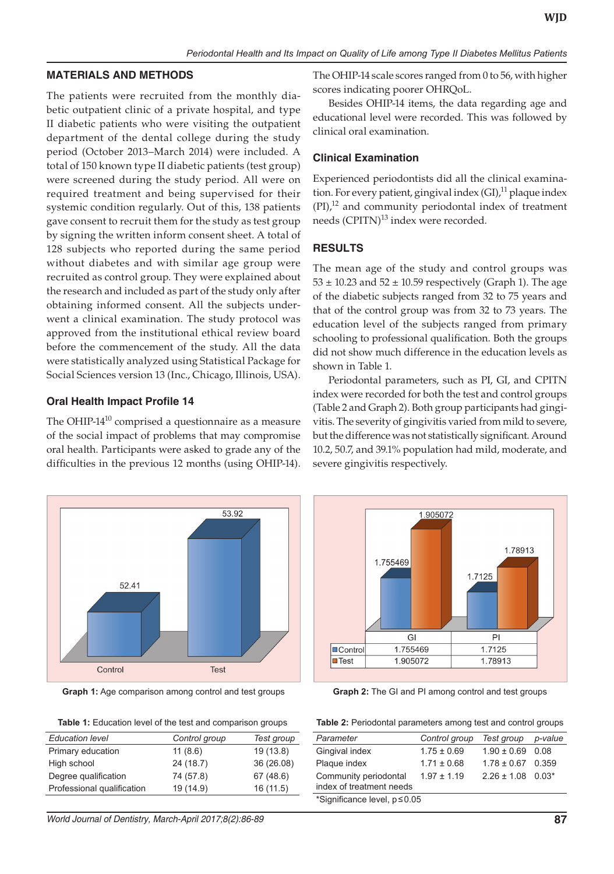#### **MATERIALS AND METHODS**

The patients were recruited from the monthly diabetic outpatient clinic of a private hospital, and type II diabetic patients who were visiting the outpatient department of the dental college during the study period (October 2013–March 2014) were included. A total of 150 known type II diabetic patients (test group) were screened during the study period. All were on required treatment and being supervised for their systemic condition regularly. Out of this, 138 patients gave consent to recruit them for the study as test group by signing the written inform consent sheet. A total of 128 subjects who reported during the same period without diabetes and with similar age group were recruited as control group. They were explained about the research and included as part of the study only after obtaining informed consent. All the subjects underwent a clinical examination. The study protocol was approved from the institutional ethical review board before the commencement of the study. All the data were statistically analyzed using Statistical Package for Social Sciences version 13 (Inc., Chicago, Illinois, USA).

### **Oral Health Impact Profile 14**

The OHIP-14<sup>10</sup> comprised a questionnaire as a measure of the social impact of problems that may compromise oral health. Participants were asked to grade any of the difficulties in the previous 12 months (using OHIP-14).



**Graph 1:** Age comparison among control and test groups

| <b>Table 1:</b> Education level of the test and comparison groups |               |            |  |
|-------------------------------------------------------------------|---------------|------------|--|
| <b>Education level</b>                                            | Control group | Test group |  |
| Primary education                                                 | 11(8.6)       | 19 (13.8)  |  |
| High school                                                       | 24 (18.7)     | 36 (26.08) |  |
| Degree qualification                                              | 74 (57.8)     | 67 (48.6)  |  |

Professional qualification 19 (14.9) 16 (11.5)

*World Journal of Dentistry, March-April 2017;8(2):86-89* **87**

The OHIP-14 scale scores ranged from 0 to 56, with higher scores indicating poorer OHRQoL.

Besides OHIP-14 items, the data regarding age and educational level were recorded. This was followed by clinical oral examination.

#### **Clinical Examination**

Experienced periodontists did all the clinical examination. For every patient, gingival index (GI),<sup>11</sup> plaque index  $(PI)$ ,<sup>12</sup> and community periodontal index of treatment needs (CPITN)<sup>13</sup> index were recorded.

#### **RESULTS**

The mean age of the study and control groups was  $53 \pm 10.23$  and  $52 \pm 10.59$  respectively (Graph 1). The age of the diabetic subjects ranged from 32 to 75 years and that of the control group was from 32 to 73 years. The education level of the subjects ranged from primary schooling to professional qualification. Both the groups did not show much difference in the education levels as shown in Table 1.

Periodontal parameters, such as PI, GI, and CPITN index were recorded for both the test and control groups (Table 2 and Graph 2). Both group participants had gingivitis. The severity of gingivitis varied from mild to severe, but the difference was not statistically significant. Around 10.2, 50.7, and 39.1% population had mild, moderate, and severe gingivitis respectively.



**Graph 2:** The GI and PI among control and test groups

| Table 2: Periodontal parameters among test and control groups |  |  |
|---------------------------------------------------------------|--|--|
|---------------------------------------------------------------|--|--|

| Parameter                     | Control group   | Test group            | p-value |
|-------------------------------|-----------------|-----------------------|---------|
| Gingival index                | $1.75 \pm 0.69$ | $1.90 \pm 0.69$ 0.08  |         |
| Plaque index                  | $1.71 \pm 0.68$ | $1.78 \pm 0.67$ 0.359 |         |
| Community periodontal         | $1.97 \pm 1.19$ | $2.26 \pm 1.08$ 0.03* |         |
| index of treatment needs      |                 |                       |         |
| *Significance level, p ≤ 0.05 |                 |                       |         |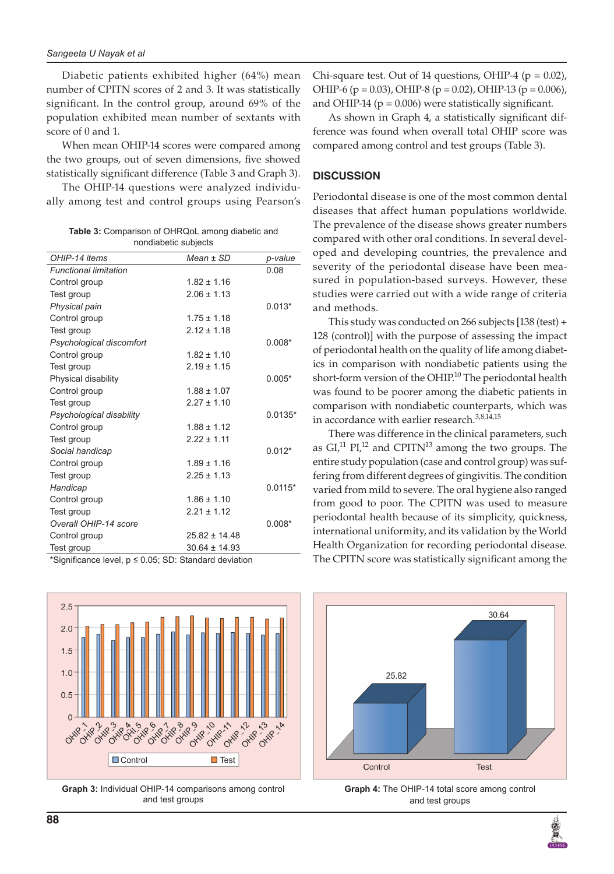Diabetic patients exhibited higher (64%) mean number of CPITN scores of 2 and 3. It was statistically significant. In the control group, around 69% of the population exhibited mean number of sextants with score of 0 and 1.

When mean OHIP-14 scores were compared among the two groups, out of seven dimensions, five showed statistically significant difference (Table 3 and Graph 3).

The OHIP-14 questions were analyzed individually among test and control groups using Pearson's

|                      | <b>Table 3:</b> Comparison of OHRQoL among diabetic and |  |  |
|----------------------|---------------------------------------------------------|--|--|
| nondiabetic subjects |                                                         |  |  |

| OHIP-14 items                | $Mean \pm SD$     | p-value   |
|------------------------------|-------------------|-----------|
| <b>Functional limitation</b> |                   | 0.08      |
| Control group                | $1.82 \pm 1.16$   |           |
| Test group                   | $2.06 \pm 1.13$   |           |
| Physical pain                |                   | $0.013*$  |
| Control group                | $1.75 \pm 1.18$   |           |
| Test group                   | $2.12 \pm 1.18$   |           |
| Psychological discomfort     |                   | $0.008*$  |
| Control group                | $1.82 \pm 1.10$   |           |
| Test group                   | $2.19 \pm 1.15$   |           |
| Physical disability          |                   | $0.005*$  |
| Control group                | $1.88 \pm 1.07$   |           |
| Test group                   | $2.27 \pm 1.10$   |           |
| Psychological disability     |                   | $0.0135*$ |
| Control group                | $1.88 \pm 1.12$   |           |
| Test group                   | $2.22 \pm 1.11$   |           |
| Social handicap              |                   | $0.012*$  |
| Control group                | $1.89 \pm 1.16$   |           |
| Test group                   | $2.25 \pm 1.13$   |           |
| Handicap                     |                   | $0.0115*$ |
| Control group                | $1.86 \pm 1.10$   |           |
| Test group                   | $2.21 \pm 1.12$   |           |
| Overall OHIP-14 score        |                   | $0.008*$  |
| Control group                | $25.82 \pm 14.48$ |           |
| Test group<br>.              | $30.64 \pm 14.93$ |           |

\*Significance level, p ≤ 0.05; SD: Standard deviation



**Graph 3:** Individual OHIP-14 comparisons among control and test groups

Chi-square test. Out of 14 questions, OHIP-4 ( $p = 0.02$ ), OHIP-6 ( $p = 0.03$ ), OHIP-8 ( $p = 0.02$ ), OHIP-13 ( $p = 0.006$ ), and OHIP-14 ( $p = 0.006$ ) were statistically significant.

As shown in Graph 4, a statistically significant difference was found when overall total OHIP score was compared among control and test groups (Table 3).

## **DISCUSSION**

Periodontal disease is one of the most common dental diseases that affect human populations worldwide. The prevalence of the disease shows greater numbers compared with other oral conditions. In several developed and developing countries, the prevalence and severity of the periodontal disease have been measured in population-based surveys. However, these studies were carried out with a wide range of criteria and methods.

This study was conducted on 266 subjects [138 (test) + 128 (control)] with the purpose of assessing the impact of periodontal health on the quality of life among diabetics in comparison with nondiabetic patients using the short-form version of the OHIP.<sup>10</sup> The periodontal health was found to be poorer among the diabetic patients in comparison with nondiabetic counterparts, which was in accordance with earlier research.<sup>3,8,14,15</sup>

There was difference in the clinical parameters, such as  $GI^{11}$  PI,<sup>12</sup> and CPITN<sup>13</sup> among the two groups. The entire study population (case and control group) was suffering from different degrees of gingivitis. The condition varied from mild to severe. The oral hygiene also ranged from good to poor. The CPITN was used to measure periodontal health because of its simplicity, quickness, international uniformity, and its validation by the World Health Organization for recording periodontal disease. The CPITN score was statistically significant among the